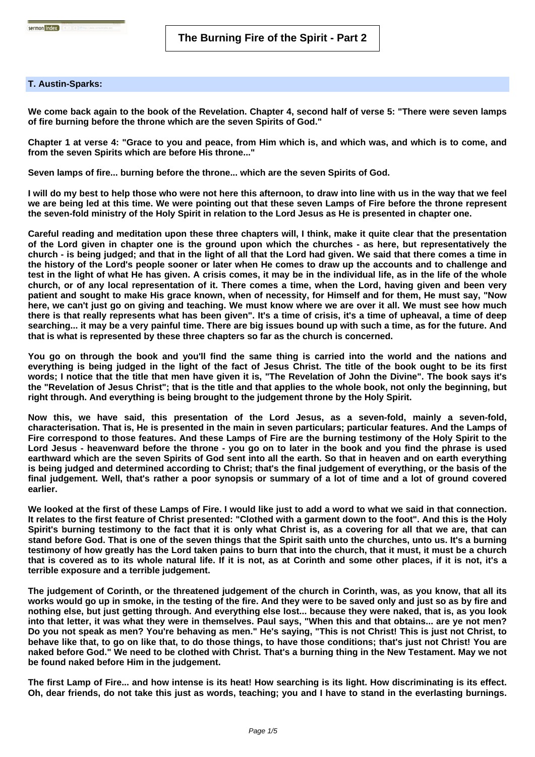## **T. Austin-Sparks:**

**We come back again to the book of the Revelation. Chapter 4, second half of verse 5: "There were seven lamps of fire burning before the throne which are the seven Spirits of God."**

**Chapter 1 at verse 4: "Grace to you and peace, from Him which is, and which was, and which is to come, and from the seven Spirits which are before His throne..."**

**Seven lamps of fire... burning before the throne... which are the seven Spirits of God.** 

**I will do my best to help those who were not here this afternoon, to draw into line with us in the way that we feel we are being led at this time. We were pointing out that these seven Lamps of Fire before the throne represent the seven-fold ministry of the Holy Spirit in relation to the Lord Jesus as He is presented in chapter one.** 

**Careful reading and meditation upon these three chapters will, I think, make it quite clear that the presentation of the Lord given in chapter one is the ground upon which the churches - as here, but representatively the church - is being judged; and that in the light of all that the Lord had given. We said that there comes a time in the history of the Lord's people sooner or later when He comes to draw up the accounts and to challenge and test in the light of what He has given. A crisis comes, it may be in the individual life, as in the life of the whole church, or of any local representation of it. There comes a time, when the Lord, having given and been very patient and sought to make His grace known, when of necessity, for Himself and for them, He must say, "Now here, we can't just go on giving and teaching. We must know where we are over it all. We must see how much there is that really represents what has been given". It's a time of crisis, it's a time of upheaval, a time of deep searching... it may be a very painful time. There are big issues bound up with such a time, as for the future. And that is what is represented by these three chapters so far as the church is concerned.** 

**You go on through the book and you'll find the same thing is carried into the world and the nations and everything is being judged in the light of the fact of Jesus Christ. The title of the book ought to be its first words; I notice that the title that men have given it is, "The Revelation of John the Divine". The book says it's the "Revelation of Jesus Christ"; that is the title and that applies to the whole book, not only the beginning, but right through. And everything is being brought to the judgement throne by the Holy Spirit.** 

**Now this, we have said, this presentation of the Lord Jesus, as a seven-fold, mainly a seven-fold, characterisation. That is, He is presented in the main in seven particulars; particular features. And the Lamps of Fire correspond to those features. And these Lamps of Fire are the burning testimony of the Holy Spirit to the Lord Jesus - heavenward before the throne - you go on to later in the book and you find the phrase is used earthward which are the seven Spirits of God sent into all the earth. So that in heaven and on earth everything is being judged and determined according to Christ; that's the final judgement of everything, or the basis of the final judgement. Well, that's rather a poor synopsis or summary of a lot of time and a lot of ground covered earlier.** 

**We looked at the first of these Lamps of Fire. I would like just to add a word to what we said in that connection. It relates to the first feature of Christ presented: "Clothed with a garment down to the foot". And this is the Holy Spirit's burning testimony to the fact that it is only what Christ is, as a covering for all that we are, that can stand before God. That is one of the seven things that the Spirit saith unto the churches, unto us. It's a burning testimony of how greatly has the Lord taken pains to burn that into the church, that it must, it must be a church that is covered as to its whole natural life. If it is not, as at Corinth and some other places, if it is not, it's a terrible exposure and a terrible judgement.** 

**The judgement of Corinth, or the threatened judgement of the church in Corinth, was, as you know, that all its works would go up in smoke, in the testing of the fire. And they were to be saved only and just so as by fire and nothing else, but just getting through. And everything else lost... because they were naked, that is, as you look into that letter, it was what they were in themselves. Paul says, "When this and that obtains... are ye not men? Do you not speak as men? You're behaving as men." He's saying, "This is not Christ! This is just not Christ, to behave like that, to go on like that, to do those things, to have those conditions; that's just not Christ! You are naked before God." We need to be clothed with Christ. That's a burning thing in the New Testament. May we not be found naked before Him in the judgement.** 

**The first Lamp of Fire... and how intense is its heat! How searching is its light. How discriminating is its effect. Oh, dear friends, do not take this just as words, teaching; you and I have to stand in the everlasting burnings.**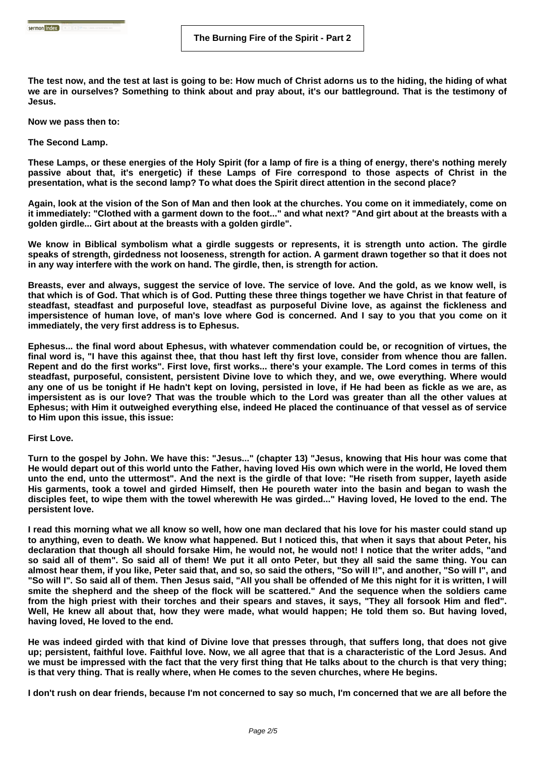**The test now, and the test at last is going to be: How much of Christ adorns us to the hiding, the hiding of what we are in ourselves? Something to think about and pray about, it's our battleground. That is the testimony of Jesus.**

**Now we pass then to:** 

**The Second Lamp.** 

**These Lamps, or these energies of the Holy Spirit (for a lamp of fire is a thing of energy, there's nothing merely passive about that, it's energetic) if these Lamps of Fire correspond to those aspects of Christ in the presentation, what is the second lamp? To what does the Spirit direct attention in the second place?** 

**Again, look at the vision of the Son of Man and then look at the churches. You come on it immediately, come on it immediately: "Clothed with a garment down to the foot..." and what next? "And girt about at the breasts with a golden girdle... Girt about at the breasts with a golden girdle".** 

**We know in Biblical symbolism what a girdle suggests or represents, it is strength unto action. The girdle speaks of strength, girdedness not looseness, strength for action. A garment drawn together so that it does not in any way interfere with the work on hand. The girdle, then, is strength for action.** 

**Breasts, ever and always, suggest the service of love. The service of love. And the gold, as we know well, is that which is of God. That which is of God. Putting these three things together we have Christ in that feature of steadfast, steadfast and purposeful love, steadfast as purposeful Divine love, as against the fickleness and impersistence of human love, of man's love where God is concerned. And I say to you that you come on it immediately, the very first address is to Ephesus.** 

**Ephesus... the final word about Ephesus, with whatever commendation could be, or recognition of virtues, the final word is, "I have this against thee, that thou hast left thy first love, consider from whence thou are fallen. Repent and do the first works". First love, first works... there's your example. The Lord comes in terms of this steadfast, purposeful, consistent, persistent Divine love to which they, and we, owe everything. Where would any one of us be tonight if He hadn't kept on loving, persisted in love, if He had been as fickle as we are, as impersistent as is our love? That was the trouble which to the Lord was greater than all the other values at Ephesus; with Him it outweighed everything else, indeed He placed the continuance of that vessel as of service to Him upon this issue, this issue:** 

## **First Love.**

**Turn to the gospel by John. We have this: "Jesus..." (chapter 13) "Jesus, knowing that His hour was come that He would depart out of this world unto the Father, having loved His own which were in the world, He loved them unto the end, unto the uttermost". And the next is the girdle of that love: "He riseth from supper, layeth aside His garments, took a towel and girded Himself, then He poureth water into the basin and began to wash the disciples feet, to wipe them with the towel wherewith He was girded..." Having loved, He loved to the end. The persistent love.** 

**I read this morning what we all know so well, how one man declared that his love for his master could stand up to anything, even to death. We know what happened. But I noticed this, that when it says that about Peter, his declaration that though all should forsake Him, he would not, he would not! I notice that the writer adds, "and so said all of them". So said all of them! We put it all onto Peter, but they all said the same thing. You can almost hear them, if you like, Peter said that, and so, so said the others, "So will I!", and another, "So will I", and "So will I". So said all of them. Then Jesus said, "All you shall be offended of Me this night for it is written, I will smite the shepherd and the sheep of the flock will be scattered." And the sequence when the soldiers came from the high priest with their torches and their spears and staves, it says, "They all forsook Him and fled". Well, He knew all about that, how they were made, what would happen; He told them so. But having loved, having loved, He loved to the end.**

**He was indeed girded with that kind of Divine love that presses through, that suffers long, that does not give up; persistent, faithful love. Faithful love. Now, we all agree that that is a characteristic of the Lord Jesus. And we must be impressed with the fact that the very first thing that He talks about to the church is that very thing; is that very thing. That is really where, when He comes to the seven churches, where He begins.** 

**I don't rush on dear friends, because I'm not concerned to say so much, I'm concerned that we are all before the**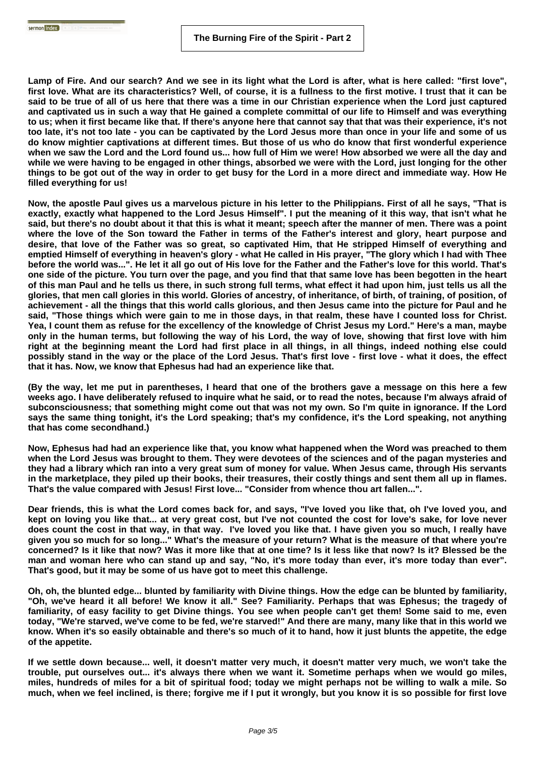**Lamp of Fire. And our search? And we see in its light what the Lord is after, what is here called: "first love", first love. What are its characteristics? Well, of course, it is a fullness to the first motive. I trust that it can be said to be true of all of us here that there was a time in our Christian experience when the Lord just captured and captivated us in such a way that He gained a complete committal of our life to Himself and was everything to us; when it first became like that. If there's anyone here that cannot say that that was their experience, it's not too late, it's not too late - you can be captivated by the Lord Jesus more than once in your life and some of us do know mightier captivations at different times. But those of us who do know that first wonderful experience when we saw the Lord and the Lord found us... how full of Him we were! How absorbed we were all the day and while we were having to be engaged in other things, absorbed we were with the Lord, just longing for the other things to be got out of the way in order to get busy for the Lord in a more direct and immediate way. How He filled everything for us!** 

**Now, the apostle Paul gives us a marvelous picture in his letter to the Philippians. First of all he says, "That is exactly, exactly what happened to the Lord Jesus Himself". I put the meaning of it this way, that isn't what he said, but there's no doubt about it that this is what it meant; speech after the manner of men. There was a point where the love of the Son toward the Father in terms of the Father's interest and glory, heart purpose and desire, that love of the Father was so great, so captivated Him, that He stripped Himself of everything and emptied Himself of everything in heaven's glory - what He called in His prayer, "The glory which I had with Thee before the world was...". He let it all go out of His love for the Father and the Father's love for this world. That's one side of the picture. You turn over the page, and you find that that same love has been begotten in the heart of this man Paul and he tells us there, in such strong full terms, what effect it had upon him, just tells us all the glories, that men call glories in this world. Glories of ancestry, of inheritance, of birth, of training, of position, of achievement - all the things that this world calls glorious, and then Jesus came into the picture for Paul and he said, "Those things which were gain to me in those days, in that realm, these have I counted loss for Christ. Yea, I count them as refuse for the excellency of the knowledge of Christ Jesus my Lord." Here's a man, maybe only in the human terms, but following the way of his Lord, the way of love, showing that first love with him right at the beginning meant the Lord had first place in all things, in all things, indeed nothing else could possibly stand in the way or the place of the Lord Jesus. That's first love - first love - what it does, the effect that it has. Now, we know that Ephesus had had an experience like that.** 

**(By the way, let me put in parentheses, I heard that one of the brothers gave a message on this here a few weeks ago. I have deliberately refused to inquire what he said, or to read the notes, because I'm always afraid of subconsciousness; that something might come out that was not my own. So I'm quite in ignorance. If the Lord says the same thing tonight, it's the Lord speaking; that's my confidence, it's the Lord speaking, not anything that has come secondhand.)**

**Now, Ephesus had had an experience like that, you know what happened when the Word was preached to them when the Lord Jesus was brought to them. They were devotees of the sciences and of the pagan mysteries and they had a library which ran into a very great sum of money for value. When Jesus came, through His servants in the marketplace, they piled up their books, their treasures, their costly things and sent them all up in flames. That's the value compared with Jesus! First love... "Consider from whence thou art fallen...".** 

**Dear friends, this is what the Lord comes back for, and says, "I've loved you like that, oh I've loved you, and kept on loving you like that... at very great cost, but I've not counted the cost for love's sake, for love never does count the cost in that way, in that way. I've loved you like that. I have given you so much, I really have given you so much for so long..." What's the measure of your return? What is the measure of that where you're concerned? Is it like that now? Was it more like that at one time? Is it less like that now? Is it? Blessed be the man and woman here who can stand up and say, "No, it's more today than ever, it's more today than ever". That's good, but it may be some of us have got to meet this challenge.** 

**Oh, oh, the blunted edge... blunted by familiarity with Divine things. How the edge can be blunted by familiarity, "Oh, we've heard it all before! We know it all." See? Familiarity. Perhaps that was Ephesus; the tragedy of familiarity, of easy facility to get Divine things. You see when people can't get them! Some said to me, even today, "We're starved, we've come to be fed, we're starved!" And there are many, many like that in this world we know. When it's so easily obtainable and there's so much of it to hand, how it just blunts the appetite, the edge of the appetite.** 

**If we settle down because... well, it doesn't matter very much, it doesn't matter very much, we won't take the trouble, put ourselves out... it's always there when we want it. Sometime perhaps when we would go miles, miles, hundreds of miles for a bit of spiritual food; today we might perhaps not be willing to walk a mile. So much, when we feel inclined, is there; forgive me if I put it wrongly, but you know it is so possible for first love**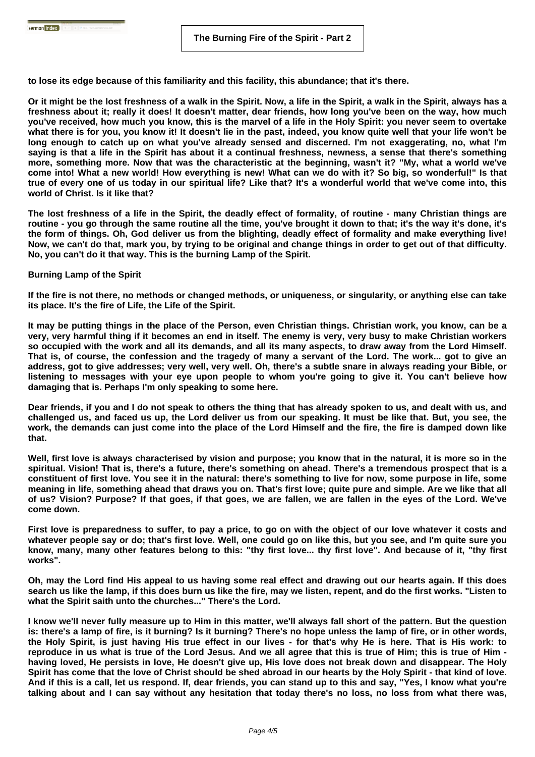**to lose its edge because of this familiarity and this facility, this abundance; that it's there.** 

**Or it might be the lost freshness of a walk in the Spirit. Now, a life in the Spirit, a walk in the Spirit, always has a freshness about it; really it does! It doesn't matter, dear friends, how long you've been on the way, how much you've received, how much you know, this is the marvel of a life in the Holy Spirit: you never seem to overtake what there is for you, you know it! It doesn't lie in the past, indeed, you know quite well that your life won't be long enough to catch up on what you've already sensed and discerned. I'm not exaggerating, no, what I'm saying is that a life in the Spirit has about it a continual freshness, newness, a sense that there's something more, something more. Now that was the characteristic at the beginning, wasn't it? "My, what a world we've come into! What a new world! How everything is new! What can we do with it? So big, so wonderful!" Is that true of every one of us today in our spiritual life? Like that? It's a wonderful world that we've come into, this world of Christ. Is it like that?** 

**The lost freshness of a life in the Spirit, the deadly effect of formality, of routine - many Christian things are routine - you go through the same routine all the time, you've brought it down to that; it's the way it's done, it's the form of things. Oh, God deliver us from the blighting, deadly effect of formality and make everything live! Now, we can't do that, mark you, by trying to be original and change things in order to get out of that difficulty. No, you can't do it that way. This is the burning Lamp of the Spirit.**

## **Burning Lamp of the Spirit**

**If the fire is not there, no methods or changed methods, or uniqueness, or singularity, or anything else can take its place. It's the fire of Life, the Life of the Spirit.** 

**It may be putting things in the place of the Person, even Christian things. Christian work, you know, can be a very, very harmful thing if it becomes an end in itself. The enemy is very, very busy to make Christian workers so occupied with the work and all its demands, and all its many aspects, to draw away from the Lord Himself. That is, of course, the confession and the tragedy of many a servant of the Lord. The work... got to give an address, got to give addresses; very well, very well. Oh, there's a subtle snare in always reading your Bible, or listening to messages with your eye upon people to whom you're going to give it. You can't believe how damaging that is. Perhaps I'm only speaking to some here.** 

**Dear friends, if you and I do not speak to others the thing that has already spoken to us, and dealt with us, and challenged us, and faced us up, the Lord deliver us from our speaking. It must be like that. But, you see, the work, the demands can just come into the place of the Lord Himself and the fire, the fire is damped down like that.** 

**Well, first love is always characterised by vision and purpose; you know that in the natural, it is more so in the spiritual. Vision! That is, there's a future, there's something on ahead. There's a tremendous prospect that is a constituent of first love. You see it in the natural: there's something to live for now, some purpose in life, some meaning in life, something ahead that draws you on. That's first love; quite pure and simple. Are we like that all of us? Vision? Purpose? If that goes, if that goes, we are fallen, we are fallen in the eyes of the Lord. We've come down.** 

**First love is preparedness to suffer, to pay a price, to go on with the object of our love whatever it costs and whatever people say or do; that's first love. Well, one could go on like this, but you see, and I'm quite sure you know, many, many other features belong to this: "thy first love... thy first love". And because of it, "thy first works".** 

**Oh, may the Lord find His appeal to us having some real effect and drawing out our hearts again. If this does search us like the lamp, if this does burn us like the fire, may we listen, repent, and do the first works. "Listen to what the Spirit saith unto the churches..." There's the Lord.** 

**I know we'll never fully measure up to Him in this matter, we'll always fall short of the pattern. But the question is: there's a lamp of fire, is it burning? Is it burning? There's no hope unless the lamp of fire, or in other words, the Holy Spirit, is just having His true effect in our lives - for that's why He is here. That is His work: to reproduce in us what is true of the Lord Jesus. And we all agree that this is true of Him; this is true of Him having loved, He persists in love, He doesn't give up, His love does not break down and disappear. The Holy Spirit has come that the love of Christ should be shed abroad in our hearts by the Holy Spirit - that kind of love. And if this is a call, let us respond. If, dear friends, you can stand up to this and say, "Yes, I know what you're talking about and I can say without any hesitation that today there's no loss, no loss from what there was,**